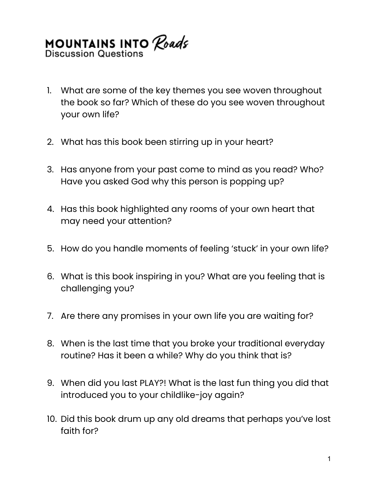## **MOUNTAINS INTO Roads**<br>Discussion Questions

- 1. What are some of the key themes you see woven throughout the book so far? Which of these do you see woven throughout your own life?
- 2. What has this book been stirring up in your heart?
- 3. Has anyone from your past come to mind as you read? Who? Have you asked God why this person is popping up?
- 4. Has this book highlighted any rooms of your own heart that may need your attention?
- 5. How do you handle moments of feeling 'stuck' in your own life?
- 6. What is this book inspiring in you? What are you feeling that is challenging you?
- 7. Are there any promises in your own life you are waiting for?
- 8. When is the last time that you broke your traditional everyday routine? Has it been a while? Why do you think that is?
- 9. When did you last PLAY?! What is the last fun thing you did that introduced you to your childlike-joy again?
- 10. Did this book drum up any old dreams that perhaps you've lost faith for?